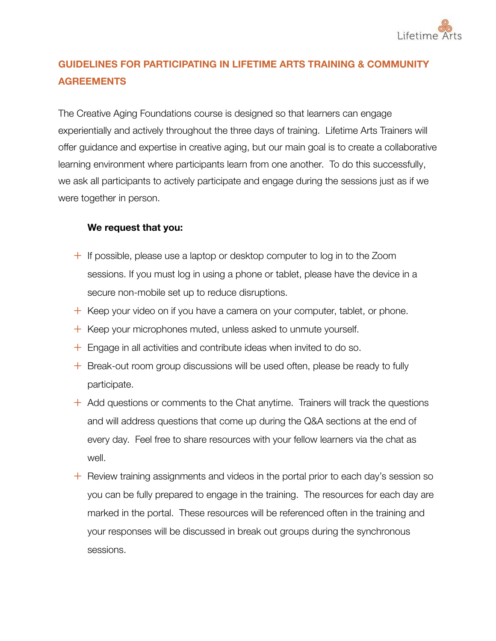

## **GUIDELINES FOR PARTICIPATING IN LIFETIME ARTS TRAINING & COMMUNITY AGREEMENTS**

The Creative Aging Foundations course is designed so that learners can engage experientially and actively throughout the three days of training. Lifetime Arts Trainers will offer guidance and expertise in creative aging, but our main goal is to create a collaborative learning environment where participants learn from one another. To do this successfully, we ask all participants to actively participate and engage during the sessions just as if we were together in person.

## **We request that you:**

- $+$  If possible, please use a laptop or desktop computer to log in to the Zoom sessions. If you must log in using a phone or tablet, please have the device in a secure non-mobile set up to reduce disruptions.
- $+$  Keep your video on if you have a camera on your computer, tablet, or phone.
- $+$  Keep your microphones muted, unless asked to unmute yourself.
- $+$  Engage in all activities and contribute ideas when invited to do so.
- $+$  Break-out room group discussions will be used often, please be ready to fully participate.
- $+$  Add questions or comments to the Chat anytime. Trainers will track the questions and will address questions that come up during the Q&A sections at the end of every day. Feel free to share resources with your fellow learners via the chat as well.
- $+$  Review training assignments and videos in the portal prior to each day's session so you can be fully prepared to engage in the training. The resources for each day are marked in the portal. These resources will be referenced often in the training and your responses will be discussed in break out groups during the synchronous sessions.